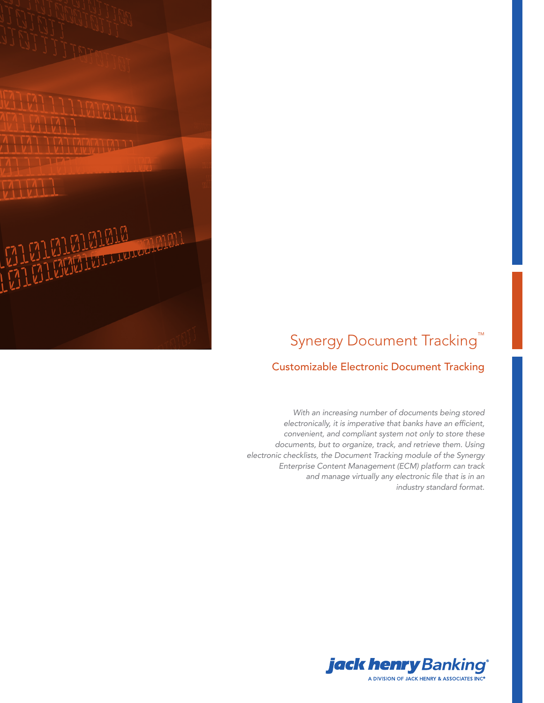

# Synergy Document Tracking<sup>™</sup>

### Customizable Electronic Document Tracking

*With an increasing number of documents being stored*  electronically, it is imperative that banks have an efficient, *convenient, and compliant system not only to store these documents, but to organize, track, and retrieve them. Using electronic checklists, the Document Tracking module of the Synergy Enterprise Content Management (ECM) platform can track*  and manage virtually any electronic file that is in an *industry standard format.* 

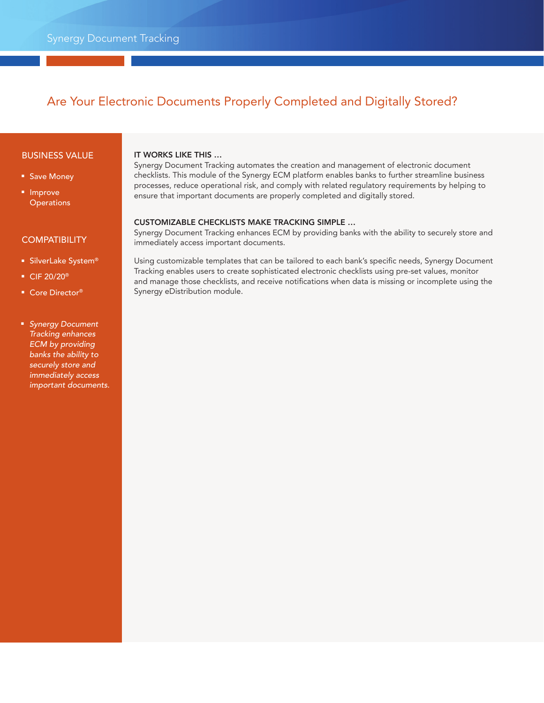## Are Your Electronic Documents Properly Completed and Digitally Stored?

#### BUSINESS VALUE

- Save Money
- Improve **Operations**

#### **COMPATIBILITY**

- SilverLake System®
- CIF 20/20<sup>®</sup>
- Core Director<sup>®</sup>

#### ■ *Synergy Document Tracking enhances ECM by providing banks the ability to securely store and immediately access important documents.*

#### IT WORKS LIKE THIS …

Synergy Document Tracking automates the creation and management of electronic document checklists. This module of the Synergy ECM platform enables banks to further streamline business processes, reduce operational risk, and comply with related regulatory requirements by helping to ensure that important documents are properly completed and digitally stored.

#### CUSTOMIZABLE CHECKLISTS MAKE TRACKING SIMPLE …

Synergy Document Tracking enhances ECM by providing banks with the ability to securely store and immediately access important documents.

Using customizable templates that can be tailored to each bank's specific needs, Synergy Document Tracking enables users to create sophisticated electronic checklists using pre-set values, monitor and manage those checklists, and receive notifications when data is missing or incomplete using the Synergy eDistribution module.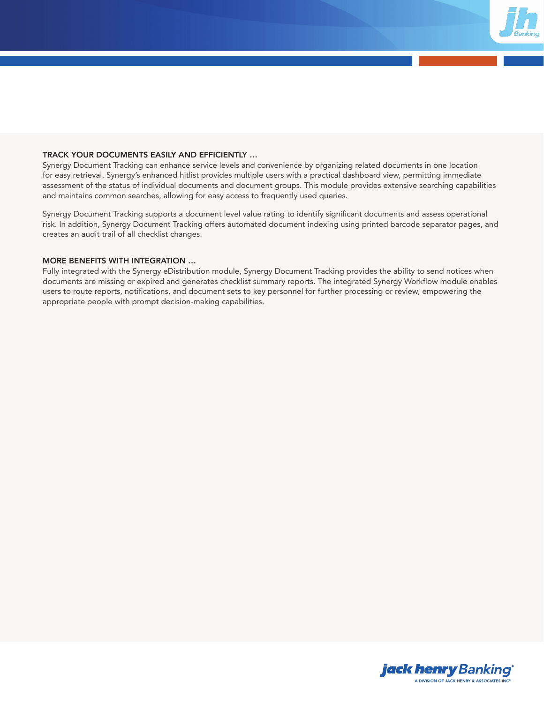

#### TRACK YOUR DOCUMENTS EASILY AND EFFICIENTLY …

Synergy Document Tracking can enhance service levels and convenience by organizing related documents in one location for easy retrieval. Synergy's enhanced hitlist provides multiple users with a practical dashboard view, permitting immediate assessment of the status of individual documents and document groups. This module provides extensive searching capabilities and maintains common searches, allowing for easy access to frequently used queries.

Synergy Document Tracking supports a document level value rating to identify significant documents and assess operational risk. In addition, Synergy Document Tracking offers automated document indexing using printed barcode separator pages, and creates an audit trail of all checklist changes.

#### MORE BENEFITS WITH INTEGRATION …

Fully integrated with the Synergy eDistribution module, Synergy Document Tracking provides the ability to send notices when documents are missing or expired and generates checklist summary reports. The integrated Synergy Workflow module enables users to route reports, notifications, and document sets to key personnel for further processing or review, empowering the appropriate people with prompt decision-making capabilities.